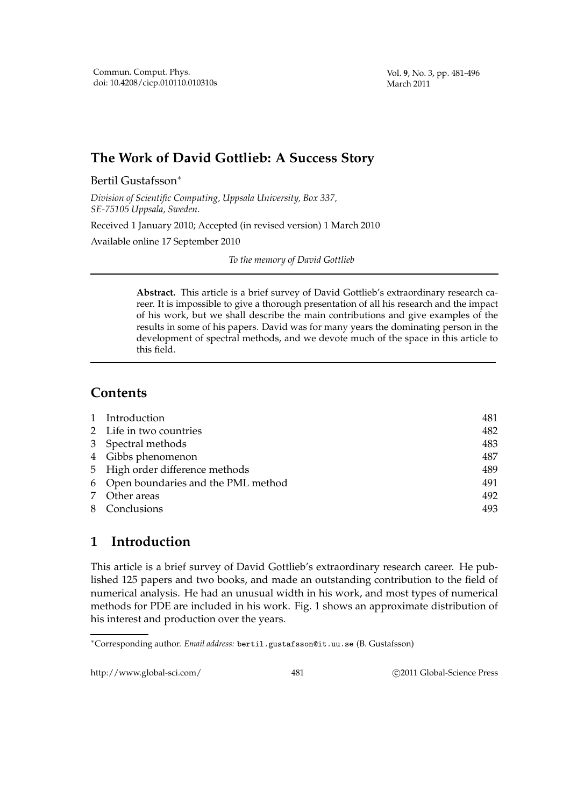Vol. **9**, No. 3, pp. 481-496 March 2011

# **The Work of David Gottlieb: A Success Story**

Bertil Gustafsson∗

*Division of Scientific Computing, Uppsala University, Box 337, SE-75105 Uppsala, Sweden.*

Received 1 January 2010; Accepted (in revised version) 1 March 2010

Available online 17 September 2010

*To the memory of David Gottlieb*

**Abstract.** This article is a brief survey of David Gottlieb's extraordinary research career. It is impossible to give a thorough presentation of all his research and the impact of his work, but we shall describe the main contributions and give examples of the results in some of his papers. David was for many years the dominating person in the development of spectral methods, and we devote much of the space in this article to this field.

# **Contents**

| 1 Introduction                       | 481 |
|--------------------------------------|-----|
| 2 Life in two countries              | 482 |
| 3 Spectral methods                   | 483 |
| 4 Gibbs phenomenon                   | 487 |
| 5 High order difference methods      | 489 |
| 6 Open boundaries and the PML method | 491 |
| 7 Other areas                        | 492 |
| 8 Conclusions                        | 493 |

# **1 Introduction**

This article is a brief survey of David Gottlieb's extraordinary research career. He published 125 papers and two books, and made an outstanding contribution to the field of numerical analysis. He had an unusual width in his work, and most types of numerical methods for PDE are included in his work. Fig. 1 shows an approximate distribution of his interest and production over the years.

∗Corresponding author. *Email address:* bertil.gustafsson@it.uu.se (B. Gustafsson)

http://www.global-sci.com/ 481 c 2011 Global-Science Press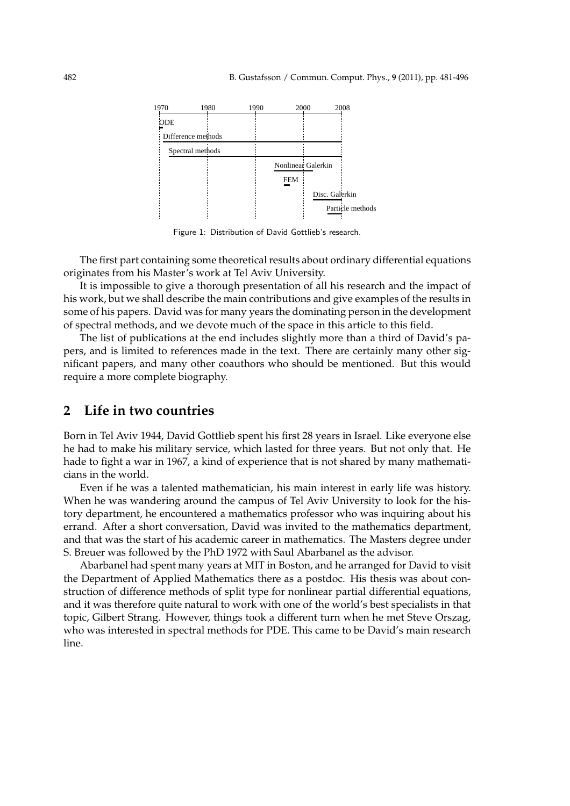

Figure 1: Distribution of David Gottlieb's research.

The first part containing some theoretical results about ordinary differential equations originates from his Master's work at Tel Aviv University.

It is impossible to give a thorough presentation of all his research and the impact of his work, but we shall describe the main contributions and give examples of the results in some of his papers. David was for many years the dominating person in the development of spectral methods, and we devote much of the space in this article to this field.

The list of publications at the end includes slightly more than a third of David's papers, and is limited to references made in the text. There are certainly many other significant papers, and many other coauthors who should be mentioned. But this would require a more complete biography.

#### **2 Life in two countries**

Born in Tel Aviv 1944, David Gottlieb spent his first 28 years in Israel. Like everyone else he had to make his military service, which lasted for three years. But not only that. He hade to fight a war in 1967, a kind of experience that is not shared by many mathematicians in the world.

Even if he was a talented mathematician, his main interest in early life was history. When he was wandering around the campus of Tel Aviv University to look for the history department, he encountered a mathematics professor who was inquiring about his errand. After a short conversation, David was invited to the mathematics department, and that was the start of his academic career in mathematics. The Masters degree under S. Breuer was followed by the PhD 1972 with Saul Abarbanel as the advisor.

Abarbanel had spent many years at MIT in Boston, and he arranged for David to visit the Department of Applied Mathematics there as a postdoc. His thesis was about construction of difference methods of split type for nonlinear partial differential equations, and it was therefore quite natural to work with one of the world's best specialists in that topic, Gilbert Strang. However, things took a different turn when he met Steve Orszag, who was interested in spectral methods for PDE. This came to be David's main research line.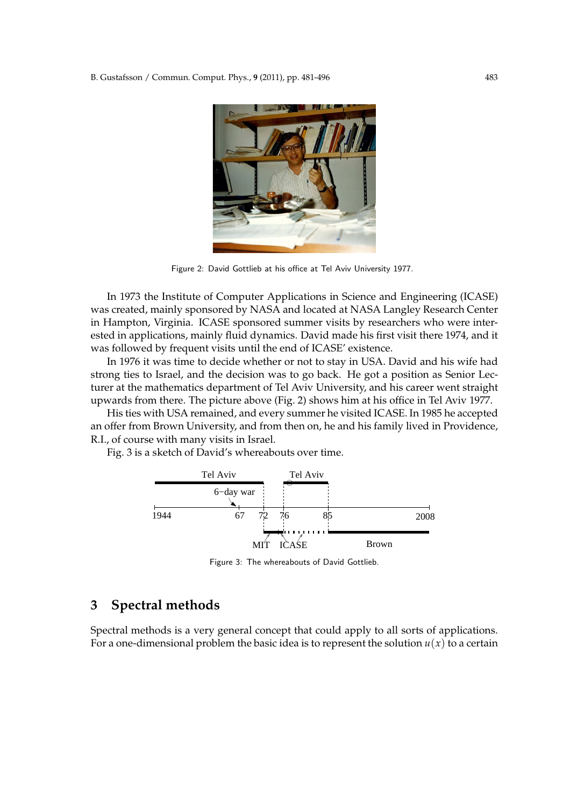

Figure 2: David Gottlieb at his office at Tel Aviv University 1977.

In 1973 the Institute of Computer Applications in Science and Engineering (ICASE) was created, mainly sponsored by NASA and located at NASA Langley Research Center in Hampton, Virginia. ICASE sponsored summer visits by researchers who were interested in applications, mainly fluid dynamics. David made his first visit there 1974, and it was followed by frequent visits until the end of ICASE' existence.

In 1976 it was time to decide whether or not to stay in USA. David and his wife had strong ties to Israel, and the decision was to go back. He got a position as Senior Lecturer at the mathematics department of Tel Aviv University, and his career went straight upwards from there. The picture above (Fig. 2) shows him at his office in Tel Aviv 1977.

His ties with USA remained, and every summer he visited ICASE. In 1985 he accepted an offer from Brown University, and from then on, he and his family lived in Providence, R.I., of course with many visits in Israel.

Fig. 3 is a sketch of David's whereabouts over time.



Figure 3: The whereabouts of David Gottlieb.

# **3 Spectral methods**

Spectral methods is a very general concept that could apply to all sorts of applications. For a one-dimensional problem the basic idea is to represent the solution  $u(x)$  to a certain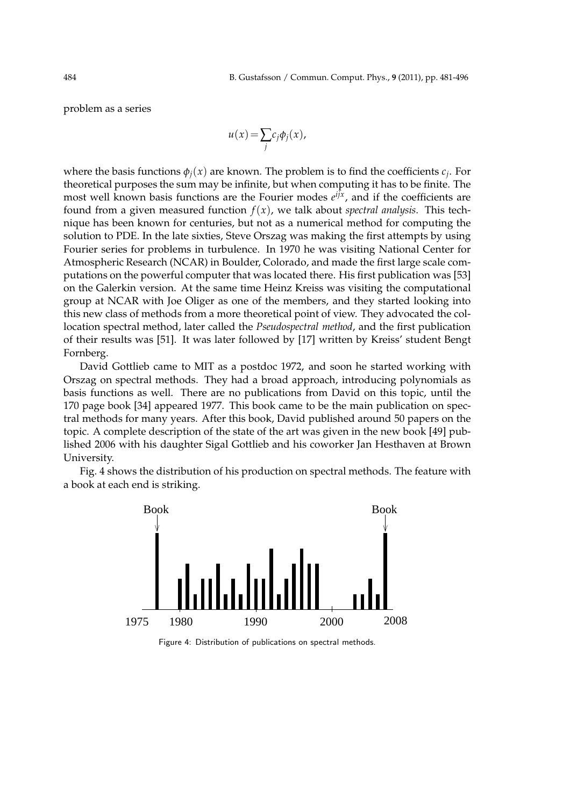problem as a series

$$
u(x) = \sum_j c_j \phi_j(x),
$$

where the basis functions  $\phi_j(x)$  are known. The problem is to find the coefficients  $c_j$ . For theoretical purposes the sum may be infinite, but when computing it has to be finite. The most well known basis functions are the Fourier modes *e ijx*, and if the coefficients are found from a given measured function  $f(x)$ , we talk about *spectral analysis*. This technique has been known for centuries, but not as a numerical method for computing the solution to PDE. In the late sixties, Steve Orszag was making the first attempts by using Fourier series for problems in turbulence. In 1970 he was visiting National Center for Atmospheric Research (NCAR) in Boulder, Colorado, and made the first large scale computations on the powerful computer that was located there. His first publication was [53] on the Galerkin version. At the same time Heinz Kreiss was visiting the computational group at NCAR with Joe Oliger as one of the members, and they started looking into this new class of methods from a more theoretical point of view. They advocated the collocation spectral method, later called the *Pseudospectral method*, and the first publication of their results was [51]. It was later followed by [17] written by Kreiss' student Bengt Fornberg.

David Gottlieb came to MIT as a postdoc 1972, and soon he started working with Orszag on spectral methods. They had a broad approach, introducing polynomials as basis functions as well. There are no publications from David on this topic, until the 170 page book [34] appeared 1977. This book came to be the main publication on spectral methods for many years. After this book, David published around 50 papers on the topic. A complete description of the state of the art was given in the new book [49] published 2006 with his daughter Sigal Gottlieb and his coworker Jan Hesthaven at Brown University.

Fig. 4 shows the distribution of his production on spectral methods. The feature with a book at each end is striking.



Figure 4: Distribution of publications on spectral methods.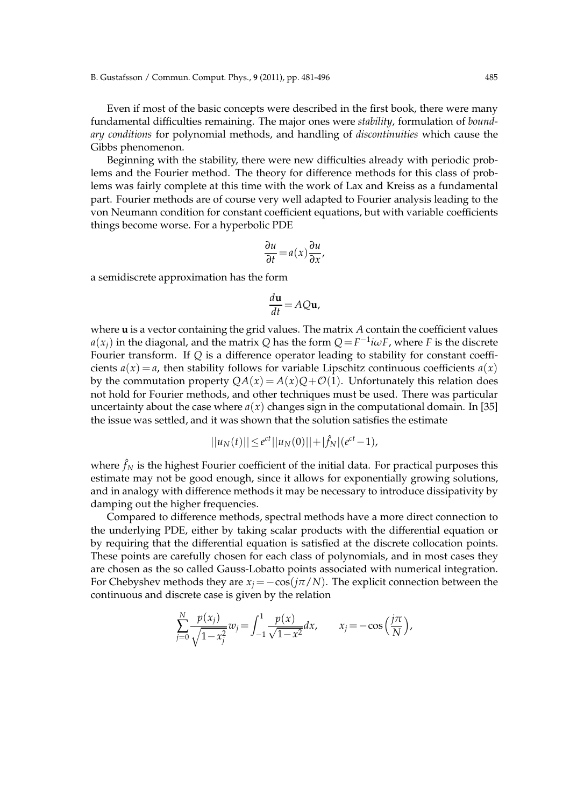B. Gustafsson / Commun. Comput. Phys., **9** (2011), pp. 481-496 485

Even if most of the basic concepts were described in the first book, there were many fundamental difficulties remaining. The major ones were *stability*, formulation of *boundary conditions* for polynomial methods, and handling of *discontinuities* which cause the Gibbs phenomenon.

Beginning with the stability, there were new difficulties already with periodic problems and the Fourier method. The theory for difference methods for this class of problems was fairly complete at this time with the work of Lax and Kreiss as a fundamental part. Fourier methods are of course very well adapted to Fourier analysis leading to the von Neumann condition for constant coefficient equations, but with variable coefficients things become worse. For a hyperbolic PDE

$$
\frac{\partial u}{\partial t} = a(x) \frac{\partial u}{\partial x},
$$

a semidiscrete approximation has the form

$$
\frac{d\mathbf{u}}{dt} = A Q \mathbf{u},
$$

where **u** is a vector containing the grid values. The matrix *A* contain the coefficient values  $a(x_j)$  in the diagonal, and the matrix  $Q$  has the form  $Q = F^{-1}i\omega F$ , where  $F$  is the discrete Fourier transform. If *Q* is a difference operator leading to stability for constant coefficients  $a(x) = a$ , then stability follows for variable Lipschitz continuous coefficients  $a(x)$ by the commutation property  $QA(x) = A(x)Q+O(1)$ . Unfortunately this relation does not hold for Fourier methods, and other techniques must be used. There was particular uncertainty about the case where  $a(x)$  changes sign in the computational domain. In [35] the issue was settled, and it was shown that the solution satisfies the estimate

$$
||u_N(t)|| \le e^{ct}||u_N(0)|| + |\hat{f}_N|(e^{ct} - 1),
$$

where  $\hat{f}_N$  is the highest Fourier coefficient of the initial data. For practical purposes this estimate may not be good enough, since it allows for exponentially growing solutions, and in analogy with difference methods it may be necessary to introduce dissipativity by damping out the higher frequencies.

Compared to difference methods, spectral methods have a more direct connection to the underlying PDE, either by taking scalar products with the differential equation or by requiring that the differential equation is satisfied at the discrete collocation points. These points are carefully chosen for each class of polynomials, and in most cases they are chosen as the so called Gauss-Lobatto points associated with numerical integration. For Chebyshev methods they are  $x_j = -\cos(j\pi/N)$ . The explicit connection between the continuous and discrete case is given by the relation

$$
\sum_{j=0}^{N} \frac{p(x_j)}{\sqrt{1-x_j^2}} w_j = \int_{-1}^{1} \frac{p(x)}{\sqrt{1-x^2}} dx, \qquad x_j = -\cos\left(\frac{j\pi}{N}\right),
$$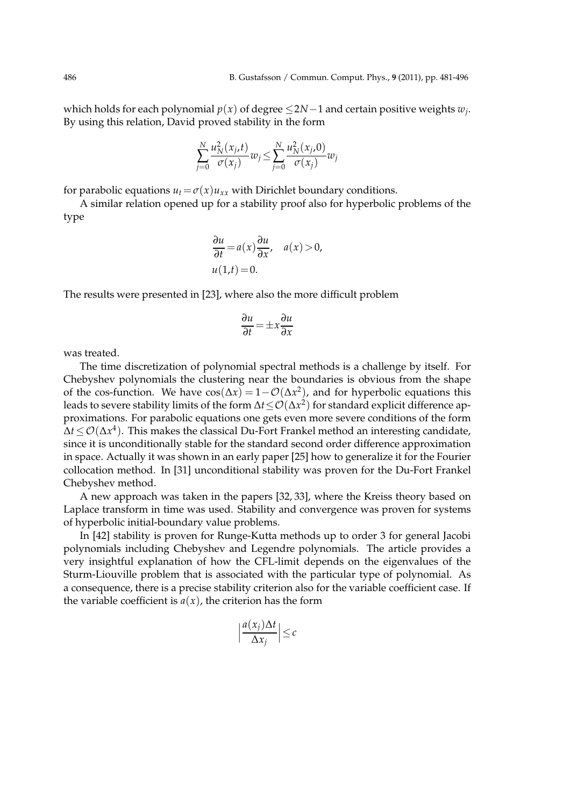which holds for each polynomial  $p(x)$  of degree  $\leq$ 2*N*−1 and certain positive weights  $w_j$ . By using this relation, David proved stability in the form

$$
\sum_{j=0}^{N} \frac{u_N^2(x_j, t)}{\sigma(x_j)} w_j \le \sum_{j=0}^{N} \frac{u_N^2(x_j, 0)}{\sigma(x_j)} w_j
$$

for parabolic equations  $u_t = \sigma(x)u_{xx}$  with Dirichlet boundary conditions.

A similar relation opened up for a stability proof also for hyperbolic problems of the type

$$
\frac{\partial u}{\partial t} = a(x) \frac{\partial u}{\partial x}, \quad a(x) > 0,
$$
  
 
$$
u(1,t) = 0.
$$

The results were presented in [23], where also the more difficult problem

$$
\frac{\partial u}{\partial t} = \pm x \frac{\partial u}{\partial x}
$$

was treated.

The time discretization of polynomial spectral methods is a challenge by itself. For Chebyshev polynomials the clustering near the boundaries is obvious from the shape of the cos-function. We have  $cos(\Delta x) = 1 - \mathcal{O}(\Delta x^2)$ , and for hyperbolic equations this leads to severe stability limits of the form  $\Delta t \leq \mathcal{O}(\Delta x^2)$  for standard explicit difference approximations. For parabolic equations one gets even more severe conditions of the form <sup>∆</sup>*t*≤ O(∆*<sup>x</sup>* 4 ). This makes the classical Du-Fort Frankel method an interesting candidate, since it is unconditionally stable for the standard second order difference approximation in space. Actually it was shown in an early paper [25] how to generalize it for the Fourier collocation method. In [31] unconditional stability was proven for the Du-Fort Frankel Chebyshev method.

A new approach was taken in the papers [32, 33], where the Kreiss theory based on Laplace transform in time was used. Stability and convergence was proven for systems of hyperbolic initial-boundary value problems.

In [42] stability is proven for Runge-Kutta methods up to order 3 for general Jacobi polynomials including Chebyshev and Legendre polynomials. The article provides a very insightful explanation of how the CFL-limit depends on the eigenvalues of the Sturm-Liouville problem that is associated with the particular type of polynomial. As a consequence, there is a precise stability criterion also for the variable coefficient case. If the variable coefficient is  $a(x)$ , the criterion has the form

$$
\left|\frac{a(x_j)\Delta t}{\Delta x_j}\right| \leq c
$$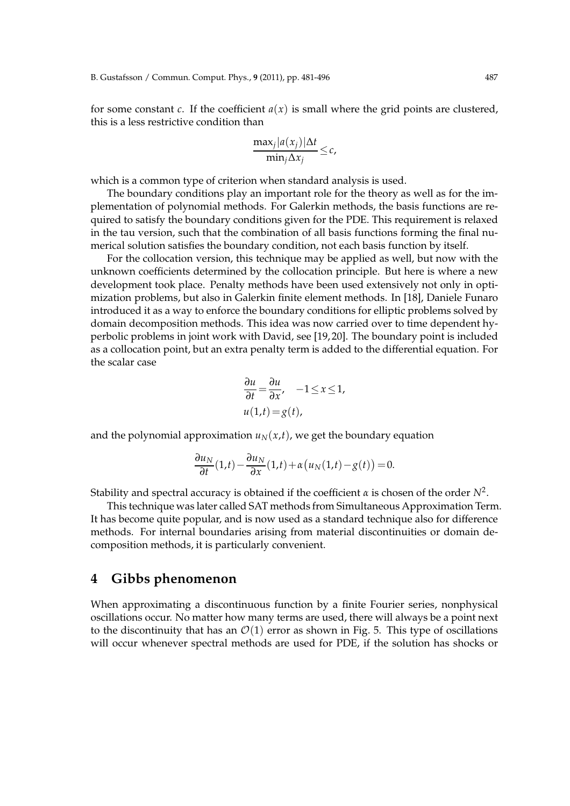for some constant *c*. If the coefficient  $a(x)$  is small where the grid points are clustered, this is a less restrictive condition than

$$
\frac{\max_j |a(x_j)| \Delta t}{\min_j \Delta x_j} \leq c,
$$

which is a common type of criterion when standard analysis is used.

The boundary conditions play an important role for the theory as well as for the implementation of polynomial methods. For Galerkin methods, the basis functions are required to satisfy the boundary conditions given for the PDE. This requirement is relaxed in the tau version, such that the combination of all basis functions forming the final numerical solution satisfies the boundary condition, not each basis function by itself.

For the collocation version, this technique may be applied as well, but now with the unknown coefficients determined by the collocation principle. But here is where a new development took place. Penalty methods have been used extensively not only in optimization problems, but also in Galerkin finite element methods. In [18], Daniele Funaro introduced it as a way to enforce the boundary conditions for elliptic problems solved by domain decomposition methods. This idea was now carried over to time dependent hyperbolic problems in joint work with David, see [19, 20]. The boundary point is included as a collocation point, but an extra penalty term is added to the differential equation. For the scalar case

$$
\frac{\partial u}{\partial t} = \frac{\partial u}{\partial x}, \quad -1 \le x \le 1,
$$
  
 
$$
u(1,t) = g(t),
$$

and the polynomial approximation  $u_N(x,t)$ , we get the boundary equation

$$
\frac{\partial u_N}{\partial t}(1,t) - \frac{\partial u_N}{\partial x}(1,t) + \alpha \big( u_N(1,t) - g(t) \big) = 0.
$$

Stability and spectral accuracy is obtained if the coefficient *α* is chosen of the order *N*<sup>2</sup> .

This technique was later called SAT methods from Simultaneous Approximation Term. It has become quite popular, and is now used as a standard technique also for difference methods. For internal boundaries arising from material discontinuities or domain decomposition methods, it is particularly convenient.

#### **4 Gibbs phenomenon**

When approximating a discontinuous function by a finite Fourier series, nonphysical oscillations occur. No matter how many terms are used, there will always be a point next to the discontinuity that has an  $\mathcal{O}(1)$  error as shown in Fig. 5. This type of oscillations will occur whenever spectral methods are used for PDE, if the solution has shocks or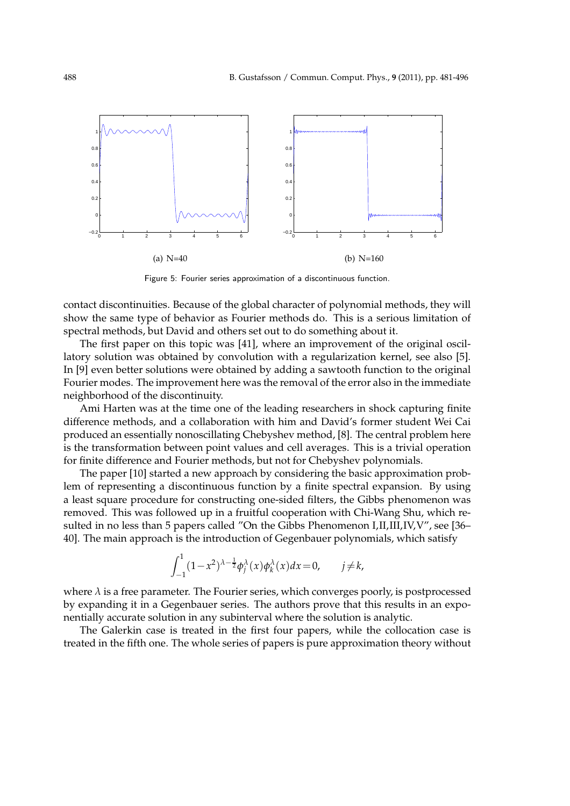

Figure 5: Fourier series approximation of a discontinuous function.

contact discontinuities. Because of the global character of polynomial methods, they will show the same type of behavior as Fourier methods do. This is a serious limitation of spectral methods, but David and others set out to do something about it.

The first paper on this topic was [41], where an improvement of the original oscillatory solution was obtained by convolution with a regularization kernel, see also [5]. In [9] even better solutions were obtained by adding a sawtooth function to the original Fourier modes. The improvement here was the removal of the error also in the immediate neighborhood of the discontinuity.

Ami Harten was at the time one of the leading researchers in shock capturing finite difference methods, and a collaboration with him and David's former student Wei Cai produced an essentially nonoscillating Chebyshev method, [8]. The central problem here is the transformation between point values and cell averages. This is a trivial operation for finite difference and Fourier methods, but not for Chebyshev polynomials.

The paper [10] started a new approach by considering the basic approximation problem of representing a discontinuous function by a finite spectral expansion. By using a least square procedure for constructing one-sided filters, the Gibbs phenomenon was removed. This was followed up in a fruitful cooperation with Chi-Wang Shu, which resulted in no less than 5 papers called "On the Gibbs Phenomenon I,II,III,IV,V", see [36– 40]. The main approach is the introduction of Gegenbauer polynomials, which satisfy

$$
\int_{-1}^{1} (1-x^2)^{\lambda - \frac{1}{2}} \phi_j^{\lambda}(x) \phi_k^{\lambda}(x) dx = 0, \qquad j \neq k,
$$

where  $\lambda$  is a free parameter. The Fourier series, which converges poorly, is postprocessed by expanding it in a Gegenbauer series. The authors prove that this results in an exponentially accurate solution in any subinterval where the solution is analytic.

The Galerkin case is treated in the first four papers, while the collocation case is treated in the fifth one. The whole series of papers is pure approximation theory without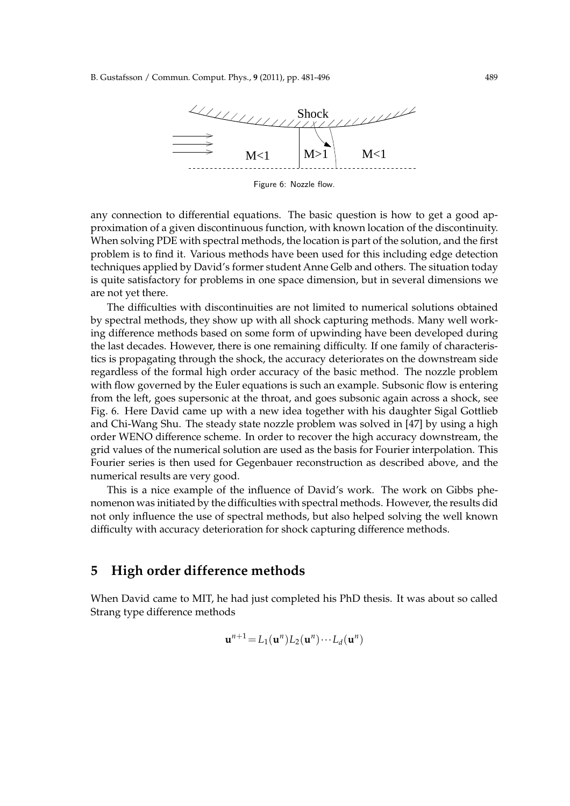

Figure 6: Nozzle flow.

any connection to differential equations. The basic question is how to get a good approximation of a given discontinuous function, with known location of the discontinuity. When solving PDE with spectral methods, the location is part of the solution, and the first problem is to find it. Various methods have been used for this including edge detection techniques applied by David's former student Anne Gelb and others. The situation today is quite satisfactory for problems in one space dimension, but in several dimensions we are not yet there.

The difficulties with discontinuities are not limited to numerical solutions obtained by spectral methods, they show up with all shock capturing methods. Many well working difference methods based on some form of upwinding have been developed during the last decades. However, there is one remaining difficulty. If one family of characteristics is propagating through the shock, the accuracy deteriorates on the downstream side regardless of the formal high order accuracy of the basic method. The nozzle problem with flow governed by the Euler equations is such an example. Subsonic flow is entering from the left, goes supersonic at the throat, and goes subsonic again across a shock, see Fig. 6. Here David came up with a new idea together with his daughter Sigal Gottlieb and Chi-Wang Shu. The steady state nozzle problem was solved in [47] by using a high order WENO difference scheme. In order to recover the high accuracy downstream, the grid values of the numerical solution are used as the basis for Fourier interpolation. This Fourier series is then used for Gegenbauer reconstruction as described above, and the numerical results are very good.

This is a nice example of the influence of David's work. The work on Gibbs phenomenon was initiated by the difficulties with spectral methods. However, the results did not only influence the use of spectral methods, but also helped solving the well known difficulty with accuracy deterioration for shock capturing difference methods.

## **5 High order difference methods**

When David came to MIT, he had just completed his PhD thesis. It was about so called Strang type difference methods

$$
\mathbf{u}^{n+1} = L_1(\mathbf{u}^n) L_2(\mathbf{u}^n) \cdots L_d(\mathbf{u}^n)
$$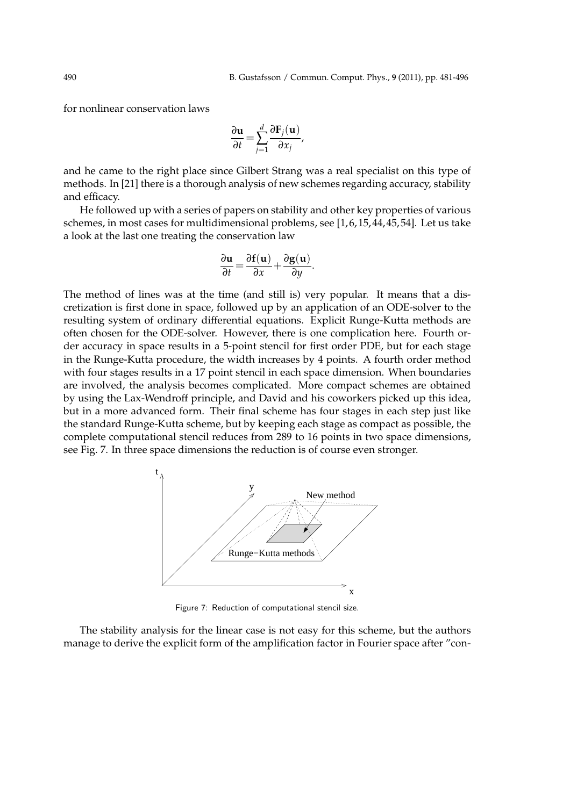for nonlinear conservation laws

$$
\frac{\partial \mathbf{u}}{\partial t} = \sum_{j=1}^{d} \frac{\partial \mathbf{F}_j(\mathbf{u})}{\partial x_j},
$$

and he came to the right place since Gilbert Strang was a real specialist on this type of methods. In [21] there is a thorough analysis of new schemes regarding accuracy, stability and efficacy.

He followed up with a series of papers on stability and other key properties of various schemes, in most cases for multidimensional problems, see [1, 6, 15, 44, 45, 54]. Let us take a look at the last one treating the conservation law

$$
\frac{\partial \mathbf{u}}{\partial t} = \frac{\partial \mathbf{f}(\mathbf{u})}{\partial x} + \frac{\partial \mathbf{g}(\mathbf{u})}{\partial y}.
$$

The method of lines was at the time (and still is) very popular. It means that a discretization is first done in space, followed up by an application of an ODE-solver to the resulting system of ordinary differential equations. Explicit Runge-Kutta methods are often chosen for the ODE-solver. However, there is one complication here. Fourth order accuracy in space results in a 5-point stencil for first order PDE, but for each stage in the Runge-Kutta procedure, the width increases by 4 points. A fourth order method with four stages results in a 17 point stencil in each space dimension. When boundaries are involved, the analysis becomes complicated. More compact schemes are obtained by using the Lax-Wendroff principle, and David and his coworkers picked up this idea, but in a more advanced form. Their final scheme has four stages in each step just like the standard Runge-Kutta scheme, but by keeping each stage as compact as possible, the complete computational stencil reduces from 289 to 16 points in two space dimensions, see Fig. 7. In three space dimensions the reduction is of course even stronger.



Figure 7: Reduction of computational stencil size.

The stability analysis for the linear case is not easy for this scheme, but the authors manage to derive the explicit form of the amplification factor in Fourier space after "con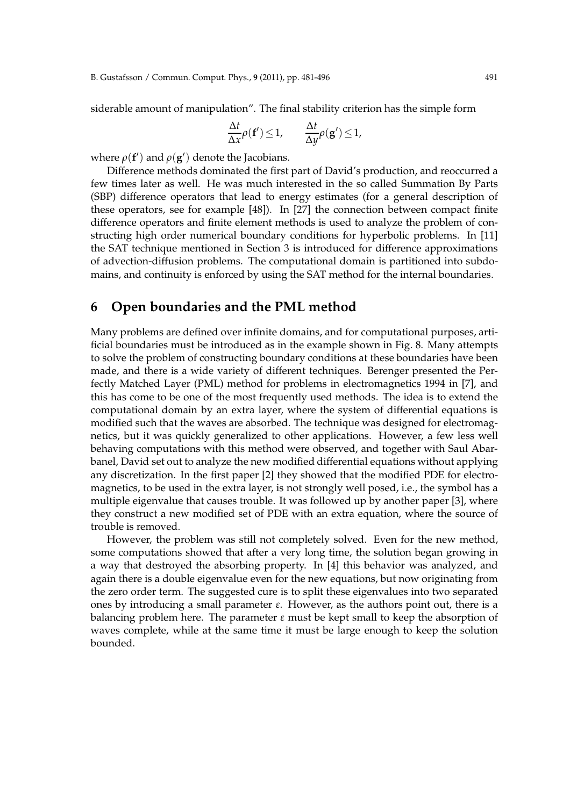siderable amount of manipulation". The final stability criterion has the simple form

$$
\frac{\Delta t}{\Delta x}\rho(\mathbf{f}') \le 1, \qquad \frac{\Delta t}{\Delta y}\rho(\mathbf{g}') \le 1,
$$

where  $\rho(\mathbf{f}')$  and  $\rho(\mathbf{g}')$  denote the Jacobians.

Difference methods dominated the first part of David's production, and reoccurred a few times later as well. He was much interested in the so called Summation By Parts (SBP) difference operators that lead to energy estimates (for a general description of these operators, see for example [48]). In [27] the connection between compact finite difference operators and finite element methods is used to analyze the problem of constructing high order numerical boundary conditions for hyperbolic problems. In [11] the SAT technique mentioned in Section 3 is introduced for difference approximations of advection-diffusion problems. The computational domain is partitioned into subdomains, and continuity is enforced by using the SAT method for the internal boundaries.

#### **6 Open boundaries and the PML method**

Many problems are defined over infinite domains, and for computational purposes, artificial boundaries must be introduced as in the example shown in Fig. 8. Many attempts to solve the problem of constructing boundary conditions at these boundaries have been made, and there is a wide variety of different techniques. Berenger presented the Perfectly Matched Layer (PML) method for problems in electromagnetics 1994 in [7], and this has come to be one of the most frequently used methods. The idea is to extend the computational domain by an extra layer, where the system of differential equations is modified such that the waves are absorbed. The technique was designed for electromagnetics, but it was quickly generalized to other applications. However, a few less well behaving computations with this method were observed, and together with Saul Abarbanel, David set out to analyze the new modified differential equations without applying any discretization. In the first paper [2] they showed that the modified PDE for electromagnetics, to be used in the extra layer, is not strongly well posed, i.e., the symbol has a multiple eigenvalue that causes trouble. It was followed up by another paper [3], where they construct a new modified set of PDE with an extra equation, where the source of trouble is removed.

However, the problem was still not completely solved. Even for the new method, some computations showed that after a very long time, the solution began growing in a way that destroyed the absorbing property. In [4] this behavior was analyzed, and again there is a double eigenvalue even for the new equations, but now originating from the zero order term. The suggested cure is to split these eigenvalues into two separated ones by introducing a small parameter *ε*. However, as the authors point out, there is a balancing problem here. The parameter  $\varepsilon$  must be kept small to keep the absorption of waves complete, while at the same time it must be large enough to keep the solution bounded.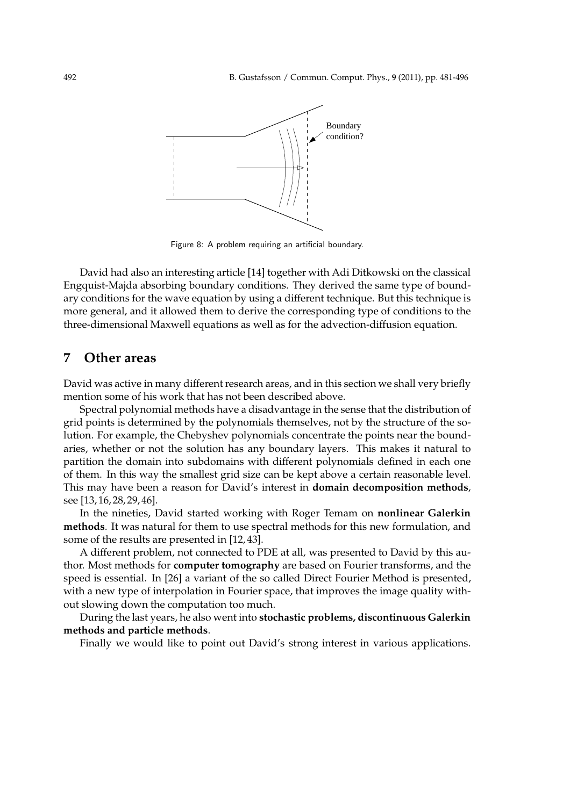

Figure 8: A problem requiring an artificial boundary.

David had also an interesting article [14] together with Adi Ditkowski on the classical Engquist-Majda absorbing boundary conditions. They derived the same type of boundary conditions for the wave equation by using a different technique. But this technique is more general, and it allowed them to derive the corresponding type of conditions to the three-dimensional Maxwell equations as well as for the advection-diffusion equation.

## **7 Other areas**

David was active in many different research areas, and in this section we shall very briefly mention some of his work that has not been described above.

Spectral polynomial methods have a disadvantage in the sense that the distribution of grid points is determined by the polynomials themselves, not by the structure of the solution. For example, the Chebyshev polynomials concentrate the points near the boundaries, whether or not the solution has any boundary layers. This makes it natural to partition the domain into subdomains with different polynomials defined in each one of them. In this way the smallest grid size can be kept above a certain reasonable level. This may have been a reason for David's interest in **domain decomposition methods**, see [13, 16, 28, 29, 46].

In the nineties, David started working with Roger Temam on **nonlinear Galerkin methods**. It was natural for them to use spectral methods for this new formulation, and some of the results are presented in [12, 43].

A different problem, not connected to PDE at all, was presented to David by this author. Most methods for **computer tomography** are based on Fourier transforms, and the speed is essential. In [26] a variant of the so called Direct Fourier Method is presented, with a new type of interpolation in Fourier space, that improves the image quality without slowing down the computation too much.

During the last years, he also went into **stochastic problems, discontinuous Galerkin methods and particle methods**.

Finally we would like to point out David's strong interest in various applications.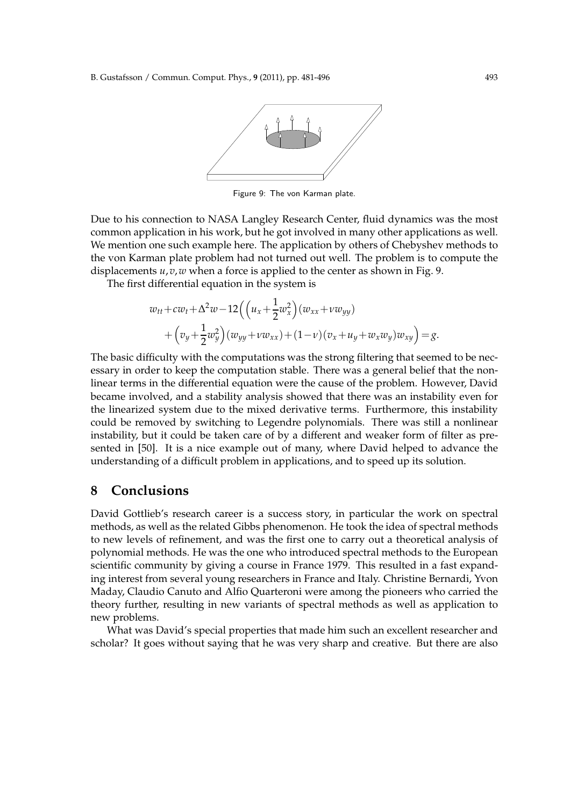

Figure 9: The von Karman plate.

Due to his connection to NASA Langley Research Center, fluid dynamics was the most common application in his work, but he got involved in many other applications as well. We mention one such example here. The application by others of Chebyshev methods to the von Karman plate problem had not turned out well. The problem is to compute the displacements *u*,*v*,*w* when a force is applied to the center as shown in Fig. 9.

The first differential equation in the system is

$$
w_{tt} + cw_t + \Delta^2 w - 12\left(\left(u_x + \frac{1}{2}w_x^2\right)(w_{xx} + vw_{yy})\right) + \left(v_y + \frac{1}{2}w_y^2\right)(w_{yy} + vw_{xx}) + (1 - v)(v_x + u_y + w_xw_y)w_{xy}\right) = g.
$$

The basic difficulty with the computations was the strong filtering that seemed to be necessary in order to keep the computation stable. There was a general belief that the nonlinear terms in the differential equation were the cause of the problem. However, David became involved, and a stability analysis showed that there was an instability even for the linearized system due to the mixed derivative terms. Furthermore, this instability could be removed by switching to Legendre polynomials. There was still a nonlinear instability, but it could be taken care of by a different and weaker form of filter as presented in [50]. It is a nice example out of many, where David helped to advance the understanding of a difficult problem in applications, and to speed up its solution.

### **8 Conclusions**

David Gottlieb's research career is a success story, in particular the work on spectral methods, as well as the related Gibbs phenomenon. He took the idea of spectral methods to new levels of refinement, and was the first one to carry out a theoretical analysis of polynomial methods. He was the one who introduced spectral methods to the European scientific community by giving a course in France 1979. This resulted in a fast expanding interest from several young researchers in France and Italy. Christine Bernardi, Yvon Maday, Claudio Canuto and Alfio Quarteroni were among the pioneers who carried the theory further, resulting in new variants of spectral methods as well as application to new problems.

What was David's special properties that made him such an excellent researcher and scholar? It goes without saying that he was very sharp and creative. But there are also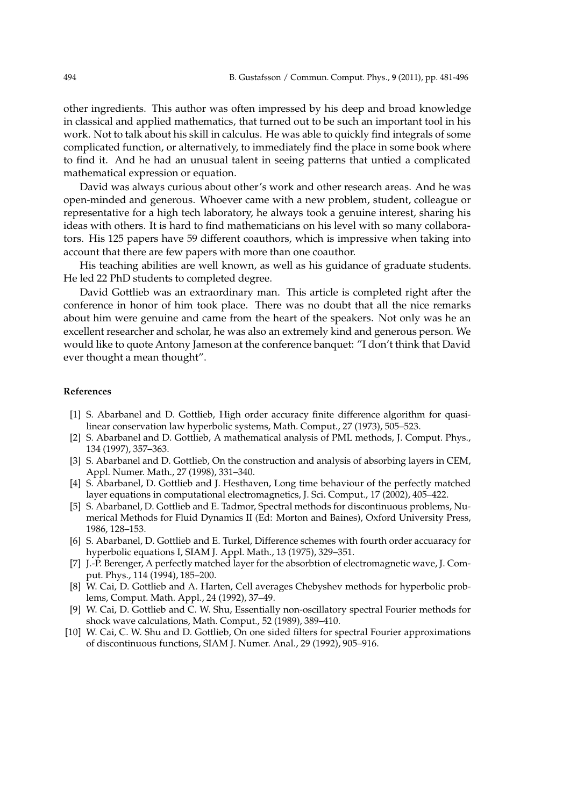other ingredients. This author was often impressed by his deep and broad knowledge in classical and applied mathematics, that turned out to be such an important tool in his work. Not to talk about his skill in calculus. He was able to quickly find integrals of some complicated function, or alternatively, to immediately find the place in some book where to find it. And he had an unusual talent in seeing patterns that untied a complicated mathematical expression or equation.

David was always curious about other's work and other research areas. And he was open-minded and generous. Whoever came with a new problem, student, colleague or representative for a high tech laboratory, he always took a genuine interest, sharing his ideas with others. It is hard to find mathematicians on his level with so many collaborators. His 125 papers have 59 different coauthors, which is impressive when taking into account that there are few papers with more than one coauthor.

His teaching abilities are well known, as well as his guidance of graduate students. He led 22 PhD students to completed degree.

David Gottlieb was an extraordinary man. This article is completed right after the conference in honor of him took place. There was no doubt that all the nice remarks about him were genuine and came from the heart of the speakers. Not only was he an excellent researcher and scholar, he was also an extremely kind and generous person. We would like to quote Antony Jameson at the conference banquet: "I don't think that David ever thought a mean thought".

#### **References**

- [1] S. Abarbanel and D. Gottlieb, High order accuracy finite difference algorithm for quasilinear conservation law hyperbolic systems, Math. Comput., 27 (1973), 505–523.
- [2] S. Abarbanel and D. Gottlieb, A mathematical analysis of PML methods, J. Comput. Phys., 134 (1997), 357–363.
- [3] S. Abarbanel and D. Gottlieb, On the construction and analysis of absorbing layers in CEM, Appl. Numer. Math., 27 (1998), 331–340.
- [4] S. Abarbanel, D. Gottlieb and J. Hesthaven, Long time behaviour of the perfectly matched layer equations in computational electromagnetics, J. Sci. Comput., 17 (2002), 405–422.
- [5] S. Abarbanel, D. Gottlieb and E. Tadmor, Spectral methods for discontinuous problems, Numerical Methods for Fluid Dynamics II (Ed: Morton and Baines), Oxford University Press, 1986, 128–153.
- [6] S. Abarbanel, D. Gottlieb and E. Turkel, Difference schemes with fourth order accuaracy for hyperbolic equations I, SIAM J. Appl. Math., 13 (1975), 329–351.
- [7] J.-P. Berenger, A perfectly matched layer for the absorbtion of electromagnetic wave, J. Comput. Phys., 114 (1994), 185–200.
- [8] W. Cai, D. Gottlieb and A. Harten, Cell averages Chebyshev methods for hyperbolic problems, Comput. Math. Appl., 24 (1992), 37–49.
- [9] W. Cai, D. Gottlieb and C. W. Shu, Essentially non-oscillatory spectral Fourier methods for shock wave calculations, Math. Comput., 52 (1989), 389–410.
- [10] W. Cai, C. W. Shu and D. Gottlieb, On one sided filters for spectral Fourier approximations of discontinuous functions, SIAM J. Numer. Anal., 29 (1992), 905–916.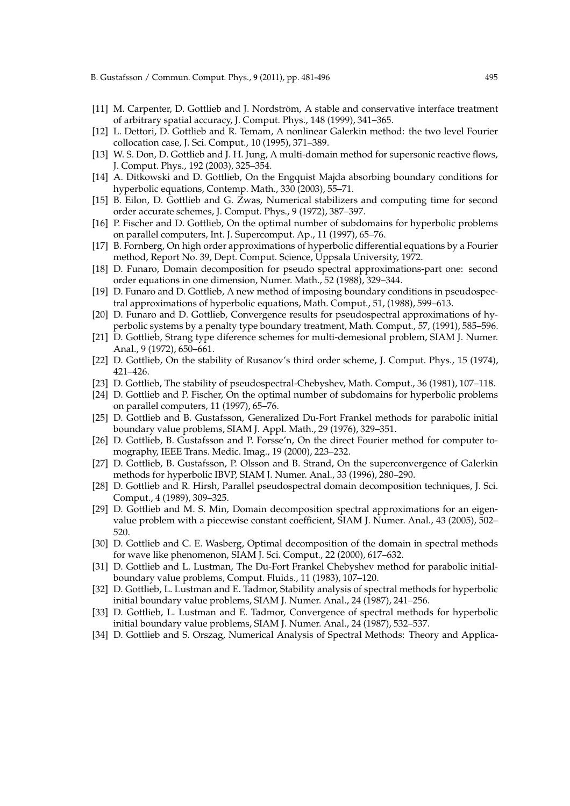- [11] M. Carpenter, D. Gottlieb and J. Nordström, A stable and conservative interface treatment of arbitrary spatial accuracy, J. Comput. Phys., 148 (1999), 341–365.
- [12] L. Dettori, D. Gottlieb and R. Temam, A nonlinear Galerkin method: the two level Fourier collocation case, J. Sci. Comput., 10 (1995), 371–389.
- [13] W. S. Don, D. Gottlieb and J. H. Jung, A multi-domain method for supersonic reactive flows, J. Comput. Phys., 192 (2003), 325–354.
- [14] A. Ditkowski and D. Gottlieb, On the Engquist Majda absorbing boundary conditions for hyperbolic equations, Contemp. Math., 330 (2003), 55–71.
- [15] B. Eilon, D. Gottlieb and G. Zwas, Numerical stabilizers and computing time for second order accurate schemes, J. Comput. Phys., 9 (1972), 387–397.
- [16] P. Fischer and D. Gottlieb, On the optimal number of subdomains for hyperbolic problems on parallel computers, Int. J. Supercomput. Ap., 11 (1997), 65–76.
- [17] B. Fornberg, On high order approximations of hyperbolic differential equations by a Fourier method, Report No. 39, Dept. Comput. Science, Uppsala University, 1972.
- [18] D. Funaro, Domain decomposition for pseudo spectral approximations-part one: second order equations in one dimension, Numer. Math., 52 (1988), 329–344.
- [19] D. Funaro and D. Gottlieb, A new method of imposing boundary conditions in pseudospectral approximations of hyperbolic equations, Math. Comput., 51, (1988), 599–613.
- [20] D. Funaro and D. Gottlieb, Convergence results for pseudospectral approximations of hyperbolic systems by a penalty type boundary treatment, Math. Comput., 57, (1991), 585–596.
- [21] D. Gottlieb, Strang type diference schemes for multi-demesional problem, SIAM J. Numer. Anal., 9 (1972), 650–661.
- [22] D. Gottlieb, On the stability of Rusanov's third order scheme, J. Comput. Phys., 15 (1974), 421–426.
- [23] D. Gottlieb, The stability of pseudospectral-Chebyshev, Math. Comput., 36 (1981), 107–118.
- [24] D. Gottlieb and P. Fischer, On the optimal number of subdomains for hyperbolic problems on parallel computers, 11 (1997), 65–76.
- [25] D. Gottlieb and B. Gustafsson, Generalized Du-Fort Frankel methods for parabolic initial boundary value problems, SIAM J. Appl. Math., 29 (1976), 329–351.
- [26] D. Gottlieb, B. Gustafsson and P. Forsse'n, On the direct Fourier method for computer tomography, IEEE Trans. Medic. Imag., 19 (2000), 223–232.
- [27] D. Gottlieb, B. Gustafsson, P. Olsson and B. Strand, On the superconvergence of Galerkin methods for hyperbolic IBVP, SIAM J. Numer. Anal., 33 (1996), 280–290.
- [28] D. Gottlieb and R. Hirsh, Parallel pseudospectral domain decomposition techniques, J. Sci. Comput., 4 (1989), 309–325.
- [29] D. Gottlieb and M. S. Min, Domain decomposition spectral approximations for an eigenvalue problem with a piecewise constant coefficient, SIAM J. Numer. Anal., 43 (2005), 502– 520.
- [30] D. Gottlieb and C. E. Wasberg, Optimal decomposition of the domain in spectral methods for wave like phenomenon, SIAM J. Sci. Comput., 22 (2000), 617–632.
- [31] D. Gottlieb and L. Lustman, The Du-Fort Frankel Chebyshev method for parabolic initialboundary value problems, Comput. Fluids., 11 (1983), 107–120.
- [32] D. Gottlieb, L. Lustman and E. Tadmor, Stability analysis of spectral methods for hyperbolic initial boundary value problems, SIAM J. Numer. Anal., 24 (1987), 241–256.
- [33] D. Gottlieb, L. Lustman and E. Tadmor, Convergence of spectral methods for hyperbolic initial boundary value problems, SIAM J. Numer. Anal., 24 (1987), 532–537.
- [34] D. Gottlieb and S. Orszag, Numerical Analysis of Spectral Methods: Theory and Applica-